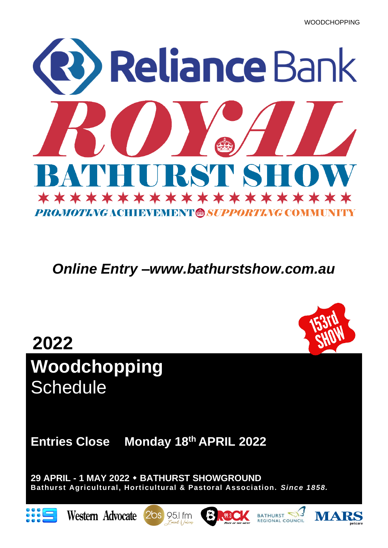

*Online Entry –www.bathurstshow.com.au*



**Entries Close Monday 18th APRIL 2022** 

**29 APRIL - 1 MAY 2022 BATHURST SHOWGROUND Bathurst Agricultural, Horticultural & Pastoral Association.** *Since 1858.*













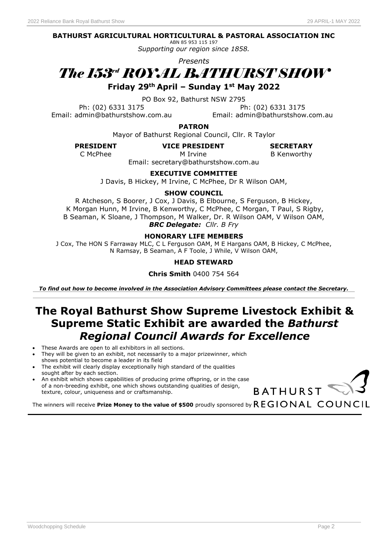#### **BATHURST AGRICULTURAL HORTICULTURAL & PASTORAL ASSOCIATION INC**

ABN 85 953 115 197 *Supporting our region since 1858.*

*Presents*



**Friday 29th April – Sunday 1st May 2022**

PO Box 92, Bathurst NSW 2795

Email: admin@bathurstshow.com.au Email: admin@bathurstshow.com.au

Ph: (02) 6331 3175 Ph: (02) 6331 3175

**PATRON**

Mayor of Bathurst Regional Council, Cllr. R Taylor

**PRESIDENT VICE PRESIDENT**

M Irvine

**SECRETARY** C McPhee **B Kenworthy M** Irvine **B** Kenworthy

Email: secretary@bathurstshow.com.au

**EXECUTIVE COMMITTEE**

J Davis, B Hickey, M Irvine, C McPhee, Dr R Wilson OAM,

#### **SHOW COUNCIL**

R Atcheson, S Boorer, J Cox, J Davis, B Elbourne, S Ferguson, B Hickey, K Morgan Hunn, M Irvine, B Kenworthy, C McPhee, C Morgan, T Paul, S Rigby, B Seaman, K Sloane, J Thompson, M Walker, Dr. R Wilson OAM, V Wilson OAM,

*BRC Delegate: Cllr. B Fry*

#### **HONORARY LIFE MEMBERS**

J Cox, The HON S Farraway MLC, C L Ferguson OAM, M E Hargans OAM, B Hickey, C McPhee, N Ramsay, B Seaman, A F Toole, J While, V Wilson OAM,

#### **HEAD STEWARD**

#### **Chris Smith** 0400 754 564

*To find out how to become involved in the Association Advisory Committees please contact the Secretary.*

## **The Royal Bathurst Show Supreme Livestock Exhibit & Supreme Static Exhibit are awarded the** *Bathurst Regional Council Awards for Excellence*

- These Awards are open to all exhibitors in all sections.
- They will be given to an exhibit, not necessarily to a major prizewinner, which shows potential to become a leader in its field
- The exhibit will clearly display exceptionally high standard of the qualities sought after by each section.
- An exhibit which shows capabilities of producing prime offspring, or in the case of a non-breeding exhibit, one which shows outstanding qualities of design, texture, colour, uniqueness and or craftsmanship.



The winners will receive Prize Money to the value of \$500 proudly sponsored by REGIONAL COUNCIL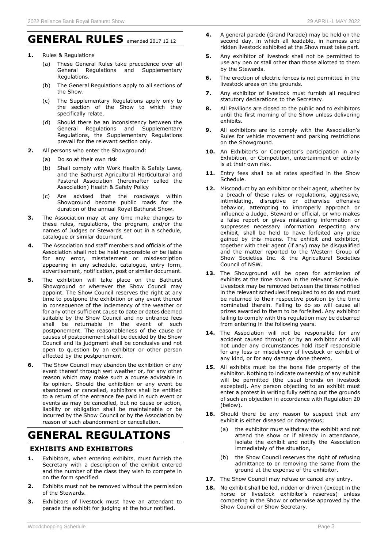## **GENERAL RULES** amended 2017 12 12

- **1.** Rules & Regulations
	- (a) These General Rules take precedence over all General Regulations and Supplementary **Regulations**
	- (b) The General Regulations apply to all sections of the Show.
	- (c) The Supplementary Regulations apply only to the section of the Show to which they specifically relate.
	- (d) Should there be an inconsistency between the General Regulations and Supplementary Regulations, the Supplementary Regulations prevail for the relevant section only.
- **2.** All persons who enter the Showground:
	- (a) Do so at their own risk
	- (b) Shall comply with Work Health & Safety Laws, and the Bathurst Agricultural Horticultural and Pastoral Association (hereinafter called the Association) Health & Safety Policy
	- (c) Are advised that the roadways within Showground become public roads for the duration of the annual Royal Bathurst Show.
- **3.** The Association may at any time make changes to these rules, regulations, the program, and/or the names of Judges or Stewards set out in a schedule, catalogue or similar document.
- **4.** The Association and staff members and officials of the Association shall not be held responsible or be liable for any error, misstatement or misdescription appearing in any schedule, catalogue, entry form, advertisement, notification, post or similar document.
- **5.** The exhibition will take place on the Bathurst Showground or wherever the Show Council may appoint. The Show Council reserves the right at any time to postpone the exhibition or any event thereof in consequence of the inclemency of the weather or for any other sufficient cause to date or dates deemed suitable by the Show Council and no entrance fees shall be returnable in the event of such postponement. The reasonableness of the cause or causes of postponement shall be decided by the Show Council and its judgment shall be conclusive and not open to question by an exhibitor or other person affected by the postponement.
- **6.** The Show Council may abandon the exhibition or any event thereof through wet weather or, for any other reason which may make such a course advisable in its opinion. Should the exhibition or any event be abandoned or cancelled, exhibitors shall be entitled to a return of the entrance fee paid in such event or events as may be cancelled, but no cause or action, liability or obligation shall be maintainable or be incurred by the Show Council or by the Association by reason of such abandonment or cancellation.

# **GENERAL REGULATIONS**

#### **EXHIBITS AND EXHIBITORS**

- **1.** Exhibitors, when entering exhibits, must furnish the Secretary with a description of the exhibit entered and the number of the class they wish to compete in on the form specified.
- **2.** Exhibits must not be removed without the permission of the Stewards.
- **3.** Exhibitors of livestock must have an attendant to parade the exhibit for judging at the hour notified.
- **4.** A general parade (Grand Parade) may be held on the second day, in which all leadable, in harness and ridden livestock exhibited at the Show must take part.
- **5.** Any exhibitor of livestock shall not be permitted to use any pen or stall other than those allotted to them by the Stewards.
- **6.** The erection of electric fences is not permitted in the livestock areas on the grounds.
- **7.** Any exhibitor of livestock must furnish all required statutory declarations to the Secretary.
- **8.** All Pavilions are closed to the public and to exhibitors until the first morning of the Show unless delivering exhibits.
- **9.** All exhibitors are to comply with the Association's Rules for vehicle movement and parking restrictions on the Showground.
- **10.** An Exhibitor's or Competitor's participation in any Exhibition, or Competition, entertainment or activity is at their own risk.
- 11. Entry fees shall be at rates specified in the Show Schedule.
- **12.** Misconduct by an exhibitor or their agent, whether by a breach of these rules or regulations, aggressive, intimidating, disruptive or otherwise offensive behavior, attempting to improperly approach or influence a Judge, Steward or official, or who makes a false report or gives misleading information or suppresses necessary information respecting any exhibit, shall be held to have forfeited any prize gained by this means. The exhibit and exhibitor, together with their agent (if any) may be disqualified and the matter reported to the Western Group of Show Societies Inc. & the Agricultural Societies Council of NSW.
- 13. The Showground will be open for admission of exhibits at the time shown in the relevant Schedule. Livestock may be removed between the times notified in the relevant schedules if required to so do and must be returned to their respective position by the time nominated therein. Failing to do so will cause all prizes awarded to them to be forfeited. Any exhibitor failing to comply with this regulation may be debarred from entering in the following years.
- 14. The Association will not be responsible for any accident caused through or by an exhibitor and will not under any circumstances hold itself responsible for any loss or misdelivery of livestock or exhibit of any kind, or for any damage done thereto.
- **15.** All exhibits must be the bona fide property of the exhibitor. Nothing to indicate ownership of any exhibit will be permitted (the usual brands on livestock excepted). Any person objecting to an exhibit must enter a protest in writing fully setting out the grounds of such an objection in accordance with Regulation 20 (below).
- 16. Should there be any reason to suspect that any exhibit is either diseased or dangerous;
	- the exhibitor must withdraw the exhibit and not attend the show or if already in attendance, isolate the exhibit and notify the Association immediately of the situation,
	- (b) the Show Council reserves the right of refusing admittance to or removing the same from the ground at the expense of the exhibitor.
- **17.** The Show Council may refuse or cancel any entry.
- **18.** No exhibit shall be led, ridden or driven (except in the horse or livestock exhibitor's reserves) unless competing in the Show or otherwise approved by the Show Council or Show Secretary.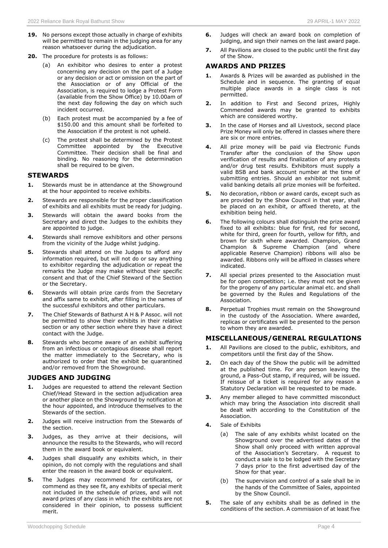- **19.** No persons except those actually in charge of exhibits will be permitted to remain in the judging area for any reason whatsoever during the adjudication.
- **20.** The procedure for protests is as follows:
	- (a) An exhibitor who desires to enter a protest concerning any decision on the part of a Judge or any decision or act or omission on the part of the Association or of any Official of the Association, is required to lodge a Protest Form (available from the Show Office) by 10.00am of the next day following the day on which such incident occurred.
	- (b) Each protest must be accompanied by a fee of \$150.00 and this amount shall be forfeited to the Association if the protest is not upheld.
	- (c) The protest shall be determined by the Protest Committee appointed by the Executive Committee. Their decision shall be final and binding. No reasoning for the determination shall be required to be given.

#### **STEWARDS**

- **1.** Stewards must be in attendance at the Showground at the hour appointed to receive exhibits.
- **2.** Stewards are responsible for the proper classification of exhibits and all exhibits must be ready for judging.
- **3.** Stewards will obtain the award books from the Secretary and direct the Judges to the exhibits they are appointed to judge.
- **4.** Stewards shall remove exhibitors and other persons from the vicinity of the Judge whilst judging.
- **5.** Stewards shall attend on the Judges to afford any information required, but will not do or say anything to exhibitor regarding the adjudication or repeat the remarks the Judge may make without their specific consent and that of the Chief Steward of the Section or the Secretary.
- **6.** Stewards will obtain prize cards from the Secretary and affix same to exhibit, after filling in the names of the successful exhibitors and other particulars.
- **7.** The Chief Stewards of Bathurst A H & P Assoc. will not be permitted to show their exhibits in their relative section or any other section where they have a direct contact with the Judge.
- **8.** Stewards who become aware of an exhibit suffering from an infectious or contagious disease shall report the matter immediately to the Secretary, who is authorized to order that the exhibit be quarantined and/or removed from the Showground.

#### **JUDGES AND JUDGING**

- **1.** Judges are requested to attend the relevant Section Chief/Head Steward in the section adjudication area or another place on the Showground by notification at the hour appointed, and introduce themselves to the Stewards of the section.
- **2.** Judges will receive instruction from the Stewards of the section.
- **3.** Judges, as they arrive at their decisions, will announce the results to the Stewards, who will record them in the award book or equivalent.
- **4.** Judges shall disqualify any exhibits which, in their opinion, do not comply with the regulations and shall enter the reason in the award book or equivalent.
- **5.** The Judges may recommend for certificates, or commend as they see fit, any exhibits of special merit not included in the schedule of prizes, and will not award prizes of any class in which the exhibits are not considered in their opinion, to possess sufficient merit.
- **6.** Judges will check an award book on completion of judging, and sign their names on the last award page.
- **7.** All Pavilions are closed to the public until the first day of the Show.

#### **AWARDS AND PRIZES**

- **1.** Awards & Prizes will be awarded as published in the Schedule and in sequence. The granting of equal multiple place awards in a single class is not permitted.
- **2.** In addition to First and Second prizes, Highly Commended awards may be granted to exhibits which are considered worthy.
- **3.** In the case of Horses and all Livestock, second place Prize Money will only be offered in classes where there are six or more entries.
- **4.** All prize money will be paid via Electronic Funds Transfer after the conclusion of the Show upon verification of results and finalization of any protests and/or drug test results. Exhibitors must supply a valid BSB and bank account number at the time of submitting entries. Should an exhibitor not submit valid banking details all prize monies will be forfeited.
- **5.** No decoration, ribbon or award cards, except such as are provided by the Show Council in that year, shall be placed on an exhibit, or affixed thereto, at the exhibition being held.
- **6.** The following colours shall distinguish the prize award fixed to all exhibits: blue for first, red for second, white for third, green for fourth, yellow for fifth, and brown for sixth where awarded. Champion, Grand Champion & Supreme Champion (and where applicable Reserve Champion) ribbons will also be awarded. Ribbons only will be affixed in classes where indicated.
- **7.** All special prizes presented to the Association must be for open competition; i.e. they must not be given for the progeny of any particular animal etc. and shall be governed by the Rules and Regulations of the Association.
- **8.** Perpetual Trophies must remain on the Showground in the custody of the Association. Where awarded, replicas or certificates will be presented to the person to whom they are awarded.

#### **MISCELLANEOUS/GENERAL REGULATIONS**

- **1.** All Pavilions are closed to the public, exhibitors, and competitors until the first day of the Show.
- **2.** On each day of the Show the public will be admitted at the published time. For any person leaving the ground, a Pass-Out stamp, if required, will be issued. If reissue of a ticket is required for any reason a Statutory Declaration will be requested to be made.
- **3.** Any member alleged to have committed misconduct which may bring the Association into discredit shall be dealt with according to the Constitution of the Association.
- **4.** Sale of Exhibits
	- (a) The sale of any exhibits whilst located on the Showground over the advertised dates of the Show shall only proceed with written approval of the Association's Secretary. A request to conduct a sale is to be lodged with the Secretary 7 days prior to the first advertised day of the Show for that year.
	- (b) The supervision and control of a sale shall be in the hands of the Committee of Sales, appointed by the Show Council.
- **5.** The sale of any exhibits shall be as defined in the conditions of the section. A commission of at least five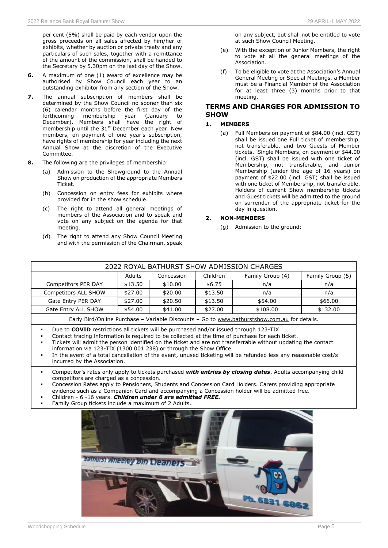per cent (5%) shall be paid by each vendor upon the gross proceeds on all sales affected by him/her of exhibits, whether by auction or private treaty and any particulars of such sales, together with a remittance of the amount of the commission, shall be handed to the Secretary by 5.30pm on the last day of the Show.

- **6.** A maximum of one (1) award of excellence may be authorised by Show Council each year to an outstanding exhibitor from any section of the Show.
- **7.** The annual subscription of members shall be determined by the Show Council no sooner than six (6) calendar months before the first day of the forthcoming membership year (January to December). Members shall have the right of membership until the 31<sup>st</sup> December each year. New members, on payment of one year's subscription, have rights of membership for year including the next Annual Show at the discretion of the Executive Committee.
- **8.** The following are the privileges of membership:
	- (a) Admission to the Showground to the Annual Show on production of the appropriate Members Ticket.
	- (b) Concession on entry fees for exhibits where provided for in the show schedule.
	- (c) The right to attend all general meetings of members of the Association and to speak and vote on any subject on the agenda for that meeting.
	- (d) The right to attend any Show Council Meeting and with the permission of the Chairman, speak

on any subject, but shall not be entitled to vote at such Show Council Meeting.

- (e) With the exception of Junior Members, the right to vote at all the general meetings of the Association.
- (f) To be eligible to vote at the Association's Annual General Meeting or Special Meetings, a Member must be a Financial Member of the Association for at least three (3) months prior to that meeting.

#### **TERMS AND CHARGES FOR ADMISSION TO SHOW**

#### **1. MEMBERS**

(a) Full Members on payment of \$84.00 (incl. GST) shall be issued one Full ticket of membership, not transferable, and two Guests of Member tickets. Single Members, on payment of \$44.00 (incl. GST) shall be issued with one ticket of Membership, not transferable, and Junior Membership (under the age of 16 years) on payment of \$22.00 (incl. GST) shall be issued with one ticket of Membership, not transferable. Holders of current Show membership tickets and Guest tickets will be admitted to the ground on surrender of the appropriate ticket for the day in question.

#### **2. NON-MEMBERS**

(g) Admission to the ground:

| 2022 ROYAL BATHURST SHOW ADMISSION CHARGES                                                   |               |            |          |                  |                  |  |  |
|----------------------------------------------------------------------------------------------|---------------|------------|----------|------------------|------------------|--|--|
|                                                                                              | <b>Adults</b> | Concession | Children | Family Group (4) | Family Group (5) |  |  |
| <b>Competitors PER DAY</b>                                                                   | \$13.50       | \$10.00    | \$6.75   | n/a              | n/a              |  |  |
| <b>Competitors ALL SHOW</b>                                                                  | \$27.00       | \$20.00    | \$13.50  | n/a              | n/a              |  |  |
| Gate Entry PER DAY                                                                           | \$27.00       | \$20.50    | \$13.50  | \$54.00          | \$66.00          |  |  |
| Gate Entry ALL SHOW                                                                          | \$54.00       | \$41.00    | \$27.00  | \$108.00         | \$132.00         |  |  |
| Early Bird/Online Purchase - Variable Discounts - Go to www.bathurstshow.com.au for details. |               |            |          |                  |                  |  |  |
|                                                                                              |               |            |          |                  |                  |  |  |

Due to **COVID** restrictions all tickets will be purchased and/or issued through 123-TIX.

- Contact tracing information is required to be collected at the time of purchase for each ticket.
- Tickets will admit the person identified on the ticket and are not transferrable without updating the contact information via 123-TIX (1300 001 238) or through the Show Office.
- In the event of a total cancellation of the event, unused ticketing will be refunded less any reasonable cost/s incurred by the Association.
- Competitor's rates only apply to tickets purchased with entries by closing dates. Adults accompanying child competitors are charged as a concession.
- Concession Rates apply to Pensioners, Students and Concession Card Holders. Carers providing appropriate
- evidence such as a Companion Card and accompanying a Concession holder will be admitted free.
- Children 6 -16 years. *Children under 6 are admitted FREE.*
- Family Group tickets include a maximum of 2 Adults.